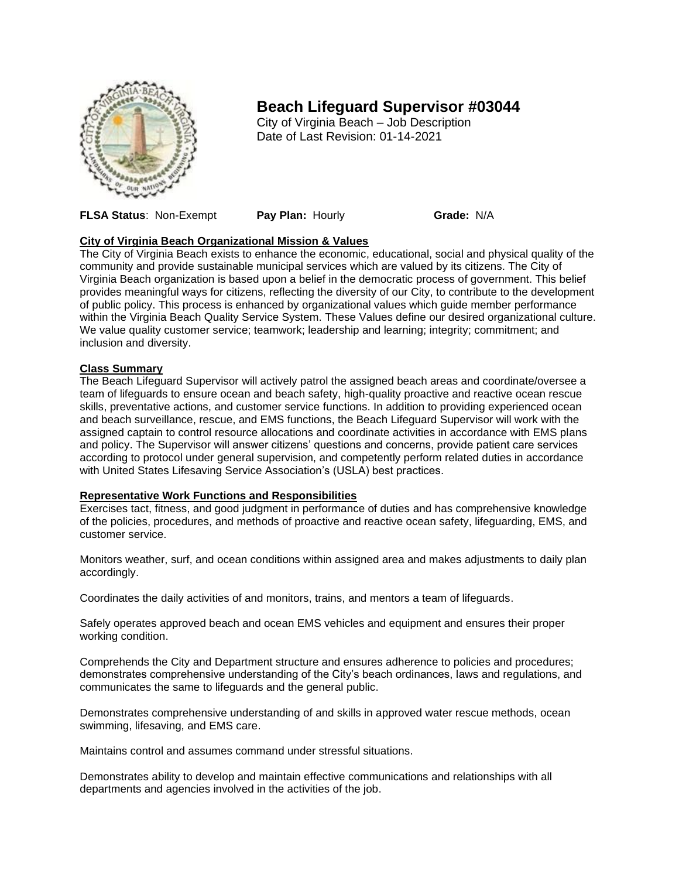

# **Beach Lifeguard Supervisor #03044**

City of Virginia Beach – Job Description Date of Last Revision: 01-14-2021

**FLSA Status**: Non-Exempt **Pay Plan:** Hourly **Grade:** N/A

## **City of Virginia Beach Organizational Mission & Values**

The City of Virginia Beach exists to enhance the economic, educational, social and physical quality of the community and provide sustainable municipal services which are valued by its citizens. The City of Virginia Beach organization is based upon a belief in the democratic process of government. This belief provides meaningful ways for citizens, reflecting the diversity of our City, to contribute to the development of public policy. This process is enhanced by organizational values which guide member performance within the Virginia Beach Quality Service System. These Values define our desired organizational culture. We value quality customer service; teamwork; leadership and learning; integrity; commitment; and inclusion and diversity.

## **Class Summary**

The Beach Lifeguard Supervisor will actively patrol the assigned beach areas and coordinate/oversee a team of lifeguards to ensure ocean and beach safety, high-quality proactive and reactive ocean rescue skills, preventative actions, and customer service functions. In addition to providing experienced ocean and beach surveillance, rescue, and EMS functions, the Beach Lifeguard Supervisor will work with the assigned captain to control resource allocations and coordinate activities in accordance with EMS plans and policy. The Supervisor will answer citizens' questions and concerns, provide patient care services according to protocol under general supervision, and competently perform related duties in accordance with United States Lifesaving Service Association's (USLA) best practices.

## **Representative Work Functions and Responsibilities**

Exercises tact, fitness, and good judgment in performance of duties and has comprehensive knowledge of the policies, procedures, and methods of proactive and reactive ocean safety, lifeguarding, EMS, and customer service.

Monitors weather, surf, and ocean conditions within assigned area and makes adjustments to daily plan accordingly.

Coordinates the daily activities of and monitors, trains, and mentors a team of lifeguards.

Safely operates approved beach and ocean EMS vehicles and equipment and ensures their proper working condition.

Comprehends the City and Department structure and ensures adherence to policies and procedures; demonstrates comprehensive understanding of the City's beach ordinances, laws and regulations, and communicates the same to lifeguards and the general public.

Demonstrates comprehensive understanding of and skills in approved water rescue methods, ocean swimming, lifesaving, and EMS care.

Maintains control and assumes command under stressful situations.

Demonstrates ability to develop and maintain effective communications and relationships with all departments and agencies involved in the activities of the job.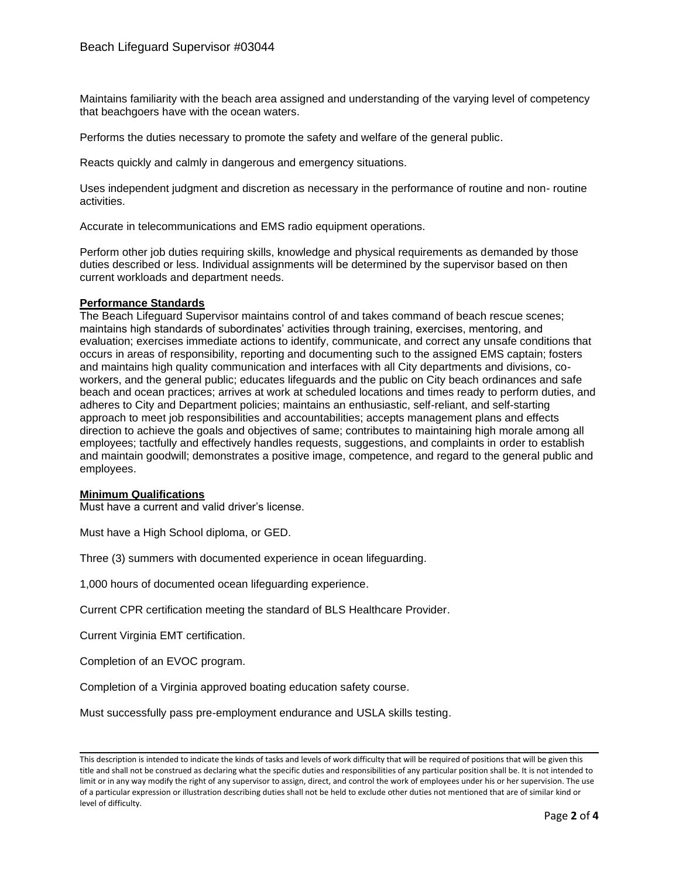Maintains familiarity with the beach area assigned and understanding of the varying level of competency that beachgoers have with the ocean waters.

Performs the duties necessary to promote the safety and welfare of the general public.

Reacts quickly and calmly in dangerous and emergency situations.

Uses independent judgment and discretion as necessary in the performance of routine and non- routine activities.

Accurate in telecommunications and EMS radio equipment operations.

Perform other job duties requiring skills, knowledge and physical requirements as demanded by those duties described or less. Individual assignments will be determined by the supervisor based on then current workloads and department needs.

#### **Performance Standards**

The Beach Lifeguard Supervisor maintains control of and takes command of beach rescue scenes; maintains high standards of subordinates' activities through training, exercises, mentoring, and evaluation; exercises immediate actions to identify, communicate, and correct any unsafe conditions that occurs in areas of responsibility, reporting and documenting such to the assigned EMS captain; fosters and maintains high quality communication and interfaces with all City departments and divisions, coworkers, and the general public; educates lifeguards and the public on City beach ordinances and safe beach and ocean practices; arrives at work at scheduled locations and times ready to perform duties, and adheres to City and Department policies; maintains an enthusiastic, self-reliant, and self-starting approach to meet job responsibilities and accountabilities; accepts management plans and effects direction to achieve the goals and objectives of same; contributes to maintaining high morale among all employees; tactfully and effectively handles requests, suggestions, and complaints in order to establish and maintain goodwill; demonstrates a positive image, competence, and regard to the general public and employees.

#### **Minimum Qualifications**

Must have a current and valid driver's license.

Must have a High School diploma, or GED.

Three (3) summers with documented experience in ocean lifeguarding.

1,000 hours of documented ocean lifeguarding experience.

Current CPR certification meeting the standard of BLS Healthcare Provider.

Current Virginia EMT certification.

Completion of an EVOC program.

Completion of a Virginia approved boating education safety course.

Must successfully pass pre-employment endurance and USLA skills testing.

This description is intended to indicate the kinds of tasks and levels of work difficulty that will be required of positions that will be given this title and shall not be construed as declaring what the specific duties and responsibilities of any particular position shall be. It is not intended to limit or in any way modify the right of any supervisor to assign, direct, and control the work of employees under his or her supervision. The use of a particular expression or illustration describing duties shall not be held to exclude other duties not mentioned that are of similar kind or level of difficulty.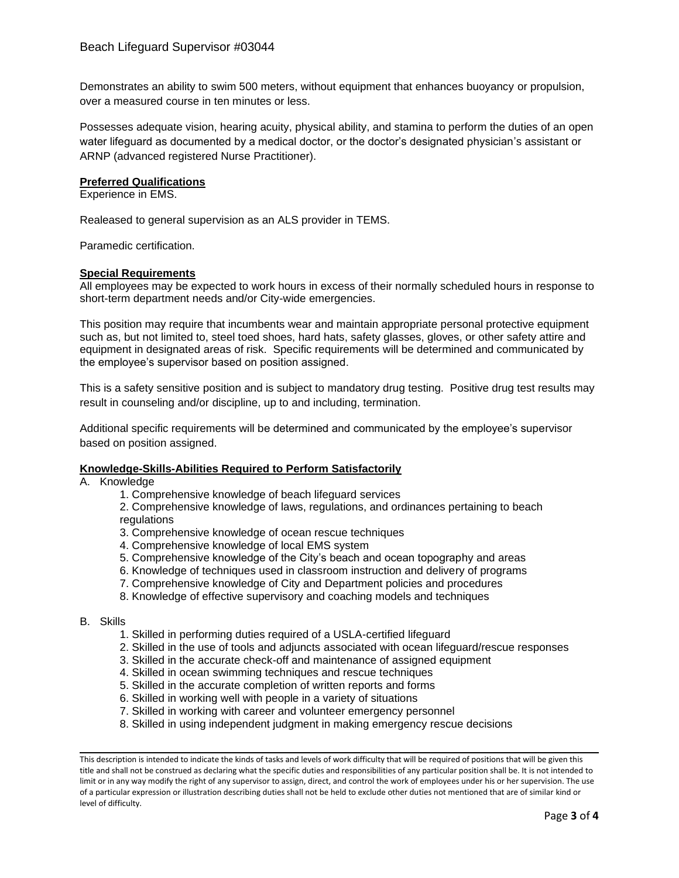Demonstrates an ability to swim 500 meters, without equipment that enhances buoyancy or propulsion, over a measured course in ten minutes or less.

Possesses adequate vision, hearing acuity, physical ability, and stamina to perform the duties of an open water lifeguard as documented by a medical doctor, or the doctor's designated physician's assistant or ARNP (advanced registered Nurse Practitioner).

#### **Preferred Qualifications**

Experience in EMS.

Realeased to general supervision as an ALS provider in TEMS.

Paramedic certification.

#### **Special Requirements**

All employees may be expected to work hours in excess of their normally scheduled hours in response to short-term department needs and/or City-wide emergencies.

This position may require that incumbents wear and maintain appropriate personal protective equipment such as, but not limited to, steel toed shoes, hard hats, safety glasses, gloves, or other safety attire and equipment in designated areas of risk. Specific requirements will be determined and communicated by the employee's supervisor based on position assigned.

This is a safety sensitive position and is subject to mandatory drug testing. Positive drug test results may result in counseling and/or discipline, up to and including, termination.

Additional specific requirements will be determined and communicated by the employee's supervisor based on position assigned.

#### **Knowledge-Skills-Abilities Required to Perform Satisfactorily**

A. Knowledge

1. Comprehensive knowledge of beach lifeguard services

2. Comprehensive knowledge of laws, regulations, and ordinances pertaining to beach regulations

- 3. Comprehensive knowledge of ocean rescue techniques
- 4. Comprehensive knowledge of local EMS system
- 5. Comprehensive knowledge of the City's beach and ocean topography and areas
- 6. Knowledge of techniques used in classroom instruction and delivery of programs
- 7. Comprehensive knowledge of City and Department policies and procedures
- 8. Knowledge of effective supervisory and coaching models and techniques

### B. Skills

- 1. Skilled in performing duties required of a USLA-certified lifeguard
- 2. Skilled in the use of tools and adjuncts associated with ocean lifeguard/rescue responses
- 3. Skilled in the accurate check-off and maintenance of assigned equipment
- 4. Skilled in ocean swimming techniques and rescue techniques
- 5. Skilled in the accurate completion of written reports and forms
- 6. Skilled in working well with people in a variety of situations
- 7. Skilled in working with career and volunteer emergency personnel
- 8. Skilled in using independent judgment in making emergency rescue decisions

This description is intended to indicate the kinds of tasks and levels of work difficulty that will be required of positions that will be given this title and shall not be construed as declaring what the specific duties and responsibilities of any particular position shall be. It is not intended to limit or in any way modify the right of any supervisor to assign, direct, and control the work of employees under his or her supervision. The use of a particular expression or illustration describing duties shall not be held to exclude other duties not mentioned that are of similar kind or level of difficulty.